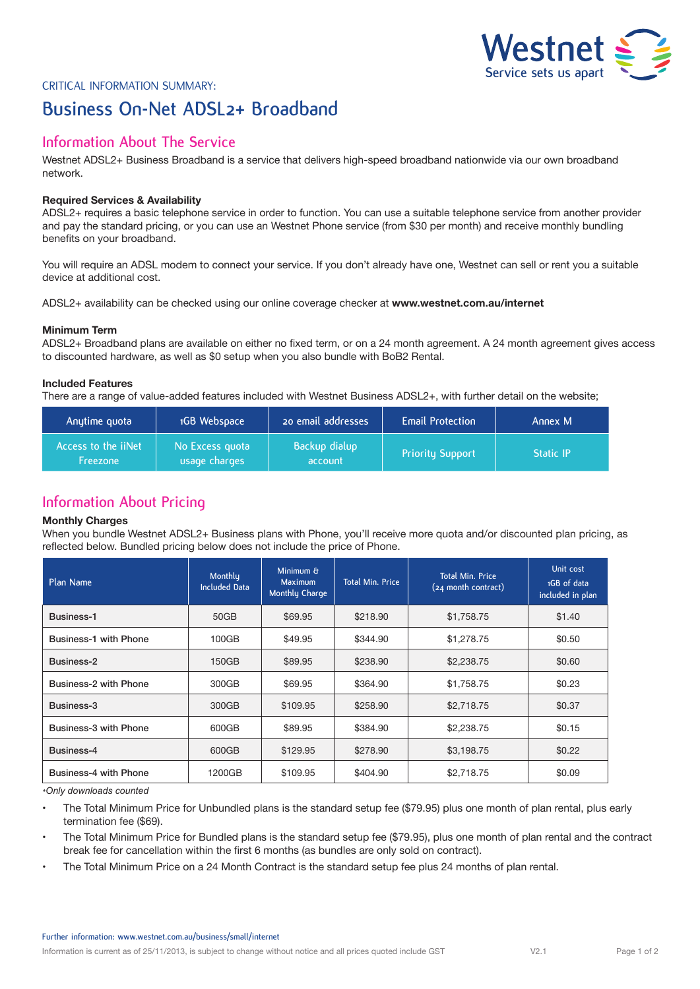

# Critical Information Summary: **Business On-Net ADSL2+ Broadband**

## **Information About The Service**

Westnet ADSL2+ Business Broadband is a service that delivers high-speed broadband nationwide via our own broadband network.

## **Required Services & Availability**

ADSL2+ requires a basic telephone service in order to function. You can use a suitable telephone service from another provider and pay the standard pricing, or you can use an Westnet Phone service (from \$30 per month) and receive monthly bundling benefits on your broadband.

You will require an ADSL modem to connect your service. If you don't already have one, Westnet can sell or rent you a suitable device at additional cost.

ADSL2+ availability can be checked using our online coverage checker at **www.westnet.com.au/internet**

### **Minimum Term**

ADSL2+ Broadband plans are available on either no fixed term, or on a 24 month agreement. A 24 month agreement gives access to discounted hardware, as well as \$0 setup when you also bundle with BoB2 Rental.

## **Included Features**

There are a range of value-added features included with Westnet Business ADSL2+, with further detail on the website;

| Anytime quota                                 | 1GB Webspace                     | 20 email addresses       | <b>Email Protection</b> | Annex M          |
|-----------------------------------------------|----------------------------------|--------------------------|-------------------------|------------------|
| Access to the <i>iiNet</i><br><b>Freezone</b> | No Excess quota<br>usage charges | Backup dialup<br>account | <b>Priority Support</b> | <b>Static IP</b> |

## **Information About Pricing**

#### **Monthly Charges**

When you bundle Westnet ADSL2+ Business plans with Phone, you'll receive more quota and/or discounted plan pricing, as reflected below. Bundled pricing below does not include the price of Phone.

| Plan Name                    | Monthly<br><b>Included Data</b> | Minimum &<br>Maximum<br>Monthly Charge | <b>Total Min. Price</b> | <b>Total Min. Price</b><br>(24 month contract) | Unit cost<br>1GB of data<br>included in plan |
|------------------------------|---------------------------------|----------------------------------------|-------------------------|------------------------------------------------|----------------------------------------------|
| Business-1                   | 50GB                            | \$69.95                                | \$218.90                | \$1,758.75                                     | \$1.40                                       |
| <b>Business-1 with Phone</b> | 100GB                           | \$49.95                                | \$344.90                | \$1,278.75                                     | \$0.50                                       |
| Business-2                   | 150GB                           | \$89.95                                | \$238.90                | \$2,238.75                                     | \$0.60                                       |
| Business-2 with Phone        | 300GB                           | \$69.95                                | \$364.90                | \$1,758.75                                     | \$0.23                                       |
| Business-3                   | 300GB                           | \$109.95                               | \$258.90                | \$2,718.75                                     | \$0.37                                       |
| Business-3 with Phone        | 600GB                           | \$89.95                                | \$384.90                | \$2,238.75                                     | \$0.15                                       |
| Business-4                   | 600GB                           | \$129.95                               | \$278.90                | \$3,198.75                                     | \$0.22                                       |
| Business-4 with Phone        | 1200GB                          | \$109.95                               | \$404.90                | \$2,718.75                                     | \$0.09                                       |

*\*Only downloads counted*

• The Total Minimum Price for Unbundled plans is the standard setup fee (\$79.95) plus one month of plan rental, plus early termination fee (\$69).

• The Total Minimum Price for Bundled plans is the standard setup fee (\$79.95), plus one month of plan rental and the contract break fee for cancellation within the first 6 months (as bundles are only sold on contract).

• The Total Minimum Price on a 24 Month Contract is the standard setup fee plus 24 months of plan rental.